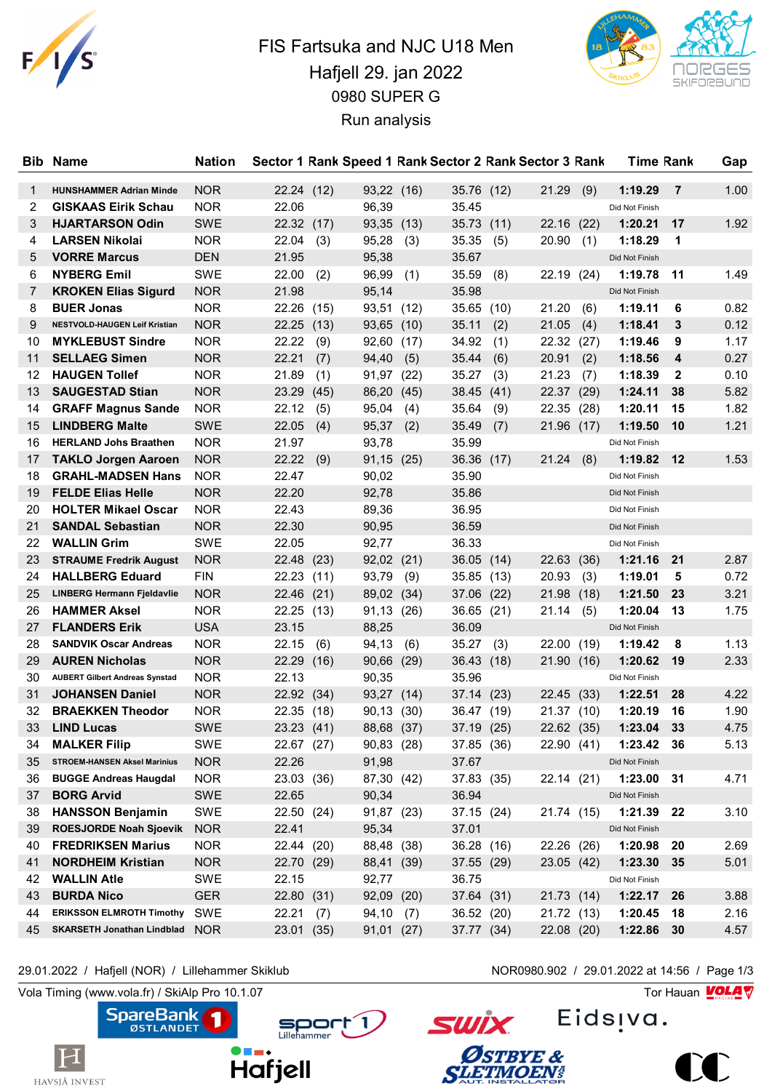

## FIS Fartsuka and NJC U18 Men Hafjell 29. jan 2022 0980 SUPER G Run analysis



| Bib    | <b>Name</b>                           | <b>Nation</b> |                     |      |                     |      |                     |      | Sector 1 Rank Speed 1 Rank Sector 2 Rank Sector 3 Rank |      | <b>Time Rank</b> |                | Gap  |
|--------|---------------------------------------|---------------|---------------------|------|---------------------|------|---------------------|------|--------------------------------------------------------|------|------------------|----------------|------|
|        | <b>HUNSHAMMER Adrian Minde</b>        | <b>NOR</b>    |                     |      |                     |      |                     |      | 21.29                                                  |      | 1:19.29          | $\overline{7}$ | 1.00 |
| 1<br>2 | <b>GISKAAS Eirik Schau</b>            | <b>NOR</b>    | 22.24 (12)<br>22.06 |      | 93,22 (16)<br>96,39 |      | 35.76 (12)<br>35.45 |      |                                                        | (9)  | Did Not Finish   |                |      |
|        | <b>HJARTARSON Odin</b>                |               |                     |      |                     |      |                     |      |                                                        |      |                  | 17             |      |
| 3      |                                       | <b>SWE</b>    | 22.32 (17)          |      | 93,35 (13)          |      | 35.73               | (11) | 22.16                                                  | (22) | 1:20.21          |                | 1.92 |
| 4      | <b>LARSEN Nikolai</b>                 | <b>NOR</b>    | 22.04               | (3)  | 95,28               | (3)  | 35.35               | (5)  | 20.90                                                  | (1)  | 1:18.29          | 1              |      |
| 5      | <b>VORRE Marcus</b>                   | <b>DEN</b>    | 21.95               |      | 95,38               |      | 35.67               |      |                                                        |      | Did Not Finish   |                |      |
| 6      | <b>NYBERG Emil</b>                    | <b>SWE</b>    | 22.00               | (2)  | 96,99               | (1)  | 35.59               | (8)  | 22.19 (24)                                             |      | 1:19.78          | 11             | 1.49 |
| 7      | <b>KROKEN Elias Sigurd</b>            | <b>NOR</b>    | 21.98               |      | 95,14               |      | 35.98               |      |                                                        |      | Did Not Finish   |                |      |
| 8      | <b>BUER Jonas</b>                     | <b>NOR</b>    | 22.26               | (15) | 93,51               | (12) | 35.65               | (10) | 21.20                                                  | (6)  | 1:19.11          | 6              | 0.82 |
| 9      | <b>NESTVOLD-HAUGEN Leif Kristian</b>  | <b>NOR</b>    | 22.25               | (13) | 93,65 (10)          |      | 35.11               | (2)  | 21.05                                                  | (4)  | 1:18.41          | 3              | 0.12 |
| 10     | <b>MYKLEBUST Sindre</b>               | <b>NOR</b>    | 22.22               | (9)  | 92,60               | (17) | 34.92               | (1)  | 22.32 (27)                                             |      | 1:19.46          | 9              | 1.17 |
| 11     | <b>SELLAEG Simen</b>                  | <b>NOR</b>    | 22.21               | (7)  | 94,40               | (5)  | 35.44               | (6)  | 20.91                                                  | (2)  | 1:18.56          | 4              | 0.27 |
| 12     | <b>HAUGEN Tollef</b>                  | <b>NOR</b>    | 21.89               | (1)  | 91,97               | (22) | 35.27               | (3)  | 21.23                                                  | (7)  | 1:18.39          | $\mathbf{2}$   | 0.10 |
| 13     | <b>SAUGESTAD Stian</b>                | <b>NOR</b>    | 23.29               | (45) | 86,20               | (45) | 38.45               | (41) | 22.37                                                  | (29) | 1:24.11          | 38             | 5.82 |
| 14     | <b>GRAFF Magnus Sande</b>             | <b>NOR</b>    | 22.12               | (5)  | 95,04               | (4)  | 35.64               | (9)  | 22.35                                                  | (28) | 1:20.11          | 15             | 1.82 |
| 15     | <b>LINDBERG Malte</b>                 | <b>SWE</b>    | 22.05               | (4)  | 95,37               | (2)  | 35.49               | (7)  | 21.96 (17)                                             |      | 1:19.50          | 10             | 1.21 |
| 16     | <b>HERLAND Johs Braathen</b>          | <b>NOR</b>    | 21.97               |      | 93,78               |      | 35.99               |      |                                                        |      | Did Not Finish   |                |      |
| 17     | <b>TAKLO Jorgen Aaroen</b>            | <b>NOR</b>    | 22.22               | (9)  | 91,15 (25)          |      | 36.36               | (17) | 21.24                                                  | (8)  | 1:19.82          | 12             | 1.53 |
| 18     | <b>GRAHL-MADSEN Hans</b>              | <b>NOR</b>    | 22.47               |      | 90,02               |      | 35.90               |      |                                                        |      | Did Not Finish   |                |      |
| 19     | <b>FELDE Elias Helle</b>              | <b>NOR</b>    | 22.20               |      | 92,78               |      | 35.86               |      |                                                        |      | Did Not Finish   |                |      |
| 20     | <b>HOLTER Mikael Oscar</b>            | <b>NOR</b>    | 22.43               |      | 89,36               |      | 36.95               |      |                                                        |      | Did Not Finish   |                |      |
| 21     | <b>SANDAL Sebastian</b>               | <b>NOR</b>    | 22.30               |      | 90,95               |      | 36.59               |      |                                                        |      | Did Not Finish   |                |      |
| 22     | <b>WALLIN Grim</b>                    | SWE           | 22.05               |      | 92,77               |      | 36.33               |      |                                                        |      | Did Not Finish   |                |      |
| 23     | <b>STRAUME Fredrik August</b>         | <b>NOR</b>    | 22.48               | (23) | $92,02$ $(21)$      |      | 36.05               | (14) | 22.63                                                  | (36) | 1:21.16          | 21             | 2.87 |
| 24     | <b>HALLBERG Eduard</b>                | <b>FIN</b>    | 22.23               | (11) | 93,79               | (9)  | 35.85               | (13) | 20.93                                                  | (3)  | 1:19.01          | 5              | 0.72 |
| 25     | <b>LINBERG Hermann Fjeldavlie</b>     | <b>NOR</b>    | 22.46               | (21) | 89,02               | (34) | 37.06               | (22) | 21.98                                                  | (18) | 1:21.50          | 23             | 3.21 |
| 26     | <b>HAMMER Aksel</b>                   | <b>NOR</b>    | 22.25               | (13) | 91,13               | (26) | 36.65               | (21) | 21.14                                                  | (5)  | 1:20.04          | 13             | 1.75 |
| 27     | <b>FLANDERS Erik</b>                  | <b>USA</b>    | 23.15               |      | 88,25               |      | 36.09               |      |                                                        |      | Did Not Finish   |                |      |
| 28     | <b>SANDVIK Oscar Andreas</b>          | <b>NOR</b>    | 22.15               | (6)  | 94,13               | (6)  | 35.27               | (3)  | 22.00                                                  | (19) | 1:19.42          | 8              | 1.13 |
| 29     | <b>AUREN Nicholas</b>                 | <b>NOR</b>    | 22.29 (16)          |      | 90,66               | (29) | 36.43               | (18) | 21.90 (16)                                             |      | 1:20.62          | 19             | 2.33 |
| 30     | <b>AUBERT Gilbert Andreas Synstad</b> | <b>NOR</b>    | 22.13               |      | 90,35               |      | 35.96               |      |                                                        |      | Did Not Finish   |                |      |
| 31     | <b>JOHANSEN Daniel</b>                | <b>NOR</b>    | 22.92 (34)          |      | 93,27               | (14) | 37.14 (23)          |      | 22.45 (33)                                             |      | 1:22.51          | 28             | 4.22 |
| 32     | <b>BRAEKKEN Theodor</b>               | NOR.          | 22.35               | (18) | 90,13               | (30) | 36.47               | (19) | 21.37                                                  | (10) | 1:20.19          | 16             | 1.90 |
| 33     | <b>LIND Lucas</b>                     | <b>SWE</b>    | 23.23 (41)          |      | 88,68 (37)          |      | 37.19 (25)          |      | 22.62 (35)                                             |      | 1:23.04          | 33             | 4.75 |
| 34     | <b>MALKER Filip</b>                   | SWE           | 22.67 (27)          |      | 90,83 (28)          |      | 37.85 (36)          |      | 22.90 (41)                                             |      | 1:23.42          | -36            | 5.13 |
| 35     | <b>STROEM-HANSEN Aksel Marinius</b>   | <b>NOR</b>    | 22.26               |      | 91,98               |      | 37.67               |      |                                                        |      | Did Not Finish   |                |      |
| 36     | <b>BUGGE Andreas Haugdal</b>          | <b>NOR</b>    | 23.03 (36)          |      | 87,30 (42)          |      | 37.83 (35)          |      | 22.14 (21)                                             |      | 1:23.00          | 31             | 4.71 |
| 37     | <b>BORG Arvid</b>                     | SWE           | 22.65               |      | 90,34               |      | 36.94               |      |                                                        |      | Did Not Finish   |                |      |
| 38     | <b>HANSSON Benjamin</b>               | SWE           | 22.50 (24)          |      | 91,87 (23)          |      | 37.15 (24)          |      | 21.74 (15)                                             |      | 1:21.39          | 22             | 3.10 |
| 39     | <b>ROESJORDE Noah Sjoevik</b>         | <b>NOR</b>    | 22.41               |      | 95,34               |      | 37.01               |      |                                                        |      | Did Not Finish   |                |      |
| 40     | <b>FREDRIKSEN Marius</b>              | <b>NOR</b>    | 22.44 (20)          |      | 88,48 (38)          |      | 36.28 (16)          |      | 22.26 (26)                                             |      | 1:20.98          | 20             | 2.69 |
| 41     | <b>NORDHEIM Kristian</b>              | <b>NOR</b>    | 22.70 (29)          |      | 88,41 (39)          |      | 37.55 (29)          |      | 23.05 (42)                                             |      | 1:23.30          | 35             | 5.01 |
| 42     | <b>WALLIN Atle</b>                    | SWE           | 22.15               |      | 92,77               |      | 36.75               |      |                                                        |      | Did Not Finish   |                |      |
| 43     | <b>BURDA Nico</b>                     | <b>GER</b>    | 22.80 (31)          |      | 92,09               | (20) | 37.64 (31)          |      | 21.73 (14)                                             |      | 1:22.17          | 26             | 3.88 |
| 44     | <b>ERIKSSON ELMROTH Timothy</b>       | SWE           | 22.21               | (7)  | 94,10               | (7)  | 36.52 (20)          |      | 21.72 (13)                                             |      | 1:20.45          | 18             | 2.16 |
|        | <b>SKARSETH Jonathan Lindblad</b>     | <b>NOR</b>    |                     |      |                     |      |                     |      |                                                        |      |                  |                |      |
| 45     |                                       |               | 23.01               | (35) | 91,01 (27)          |      | 37.77 (34)          |      | 22.08 (20)                                             |      | 1:22.86          | 30             | 4.57 |

29.01.2022 / Hafjell (NOR) / Lillehammer Skiklub NOR0980.902 / 29.01.2022 at 14:56 / Page 1/3

Vola Timing (www.vola.fr) / SkiAlp Pro 10.1.07 Tor Hauan Motor Pro 10.1.07 Tor Hauan Motor Pro 10.1.07





Eids<sub>!va.</sub>

**SWİX** 

**ØSTBYE &**<br>SLETMOEN#

 $\sum$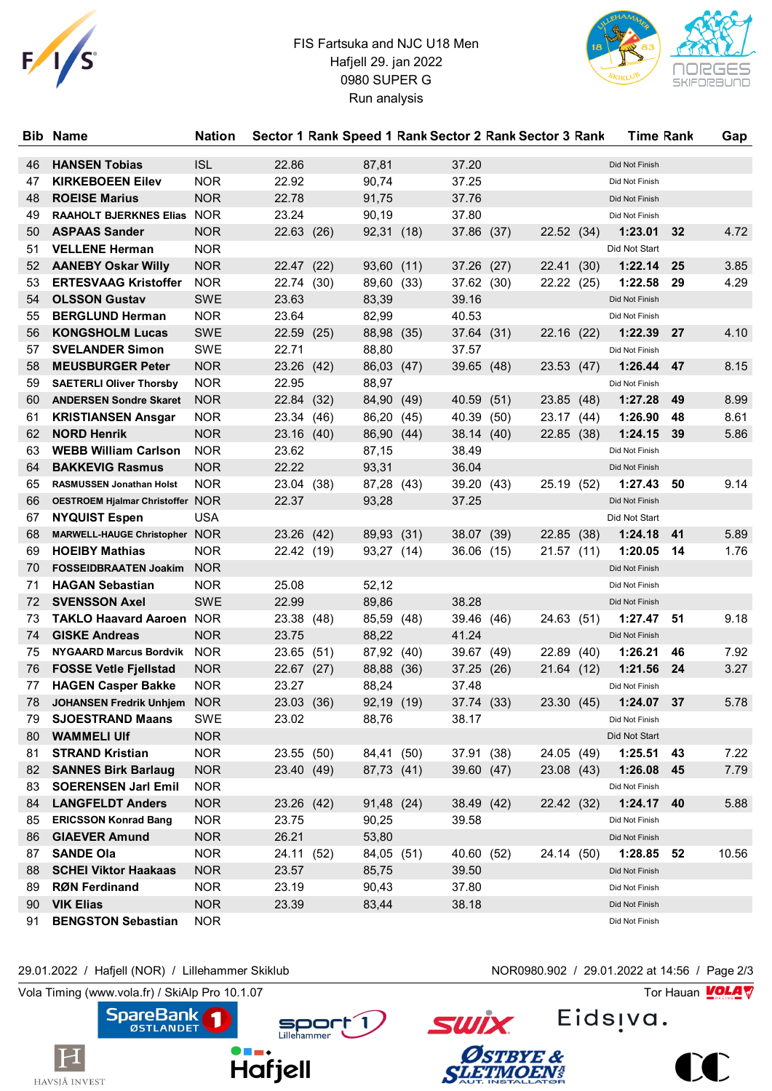

## FIS Fartsuka and NJC U18 Men Hafjell 29. jan 2022 0980 SUPER G Run analysis



| <b>Bib</b> | <b>Name</b>                      | <b>Nation</b> |            |      |            |      |            |      | Sector 1 Rank Speed 1 Rank Sector 2 Rank Sector 3 Rank |      | <b>Time Rank</b> |    | Gap   |
|------------|----------------------------------|---------------|------------|------|------------|------|------------|------|--------------------------------------------------------|------|------------------|----|-------|
| 46         | <b>HANSEN Tobias</b>             | <b>ISL</b>    | 22.86      |      | 87,81      |      | 37.20      |      |                                                        |      | Did Not Finish   |    |       |
| 47         | <b>KIRKEBOEEN Eilev</b>          | <b>NOR</b>    | 22.92      |      | 90,74      |      | 37.25      |      |                                                        |      | Did Not Finish   |    |       |
| 48         | <b>ROEISE Marius</b>             | <b>NOR</b>    | 22.78      |      | 91,75      |      | 37.76      |      |                                                        |      | Did Not Finish   |    |       |
| 49         | RAAHOLT BJERKNES Elias NOR       |               | 23.24      |      | 90,19      |      | 37.80      |      |                                                        |      | Did Not Finish   |    |       |
| 50         | <b>ASPAAS Sander</b>             | <b>NOR</b>    | 22.63 (26) |      | 92,31 (18) |      | 37.86 (37) |      | 22.52 (34)                                             |      | 1:23.01          | 32 | 4.72  |
| 51         | <b>VELLENE Herman</b>            | <b>NOR</b>    |            |      |            |      |            |      |                                                        |      | Did Not Start    |    |       |
| 52         | <b>AANEBY Oskar Willy</b>        | <b>NOR</b>    | 22.47 (22) |      | 93,60      | (11) | 37.26 (27) |      | 22.41                                                  | (30) | 1:22.14          | 25 | 3.85  |
| 53         | <b>ERTESVAAG Kristoffer</b>      | <b>NOR</b>    | 22.74 (30) |      | 89,60      | (33) | 37.62 (30) |      | 22.22 (25)                                             |      | 1:22.58          | 29 | 4.29  |
| 54         | <b>OLSSON Gustav</b>             | <b>SWE</b>    | 23.63      |      | 83,39      |      | 39.16      |      |                                                        |      | Did Not Finish   |    |       |
| 55         | <b>BERGLUND Herman</b>           | <b>NOR</b>    | 23.64      |      | 82,99      |      | 40.53      |      |                                                        |      | Did Not Finish   |    |       |
| 56         | <b>KONGSHOLM Lucas</b>           | <b>SWE</b>    | 22.59 (25) |      | 88,98      | (35) | 37.64 (31) |      | 22.16 (22)                                             |      | 1:22.39          | 27 | 4.10  |
| 57         | <b>SVELANDER Simon</b>           | <b>SWE</b>    | 22.71      |      | 88,80      |      | 37.57      |      |                                                        |      | Did Not Finish   |    |       |
| 58         | <b>MEUSBURGER Peter</b>          | <b>NOR</b>    | 23.26 (42) |      | 86,03      | (47) | 39.65      | (48) | 23.53 (47)                                             |      | 1:26.44          | 47 | 8.15  |
| 59         | <b>SAETERLI Oliver Thorsby</b>   | <b>NOR</b>    | 22.95      |      | 88,97      |      |            |      |                                                        |      | Did Not Finish   |    |       |
| 60         | <b>ANDERSEN Sondre Skaret</b>    | <b>NOR</b>    | 22.84 (32) |      | 84,90      | (49) | 40.59      | (51) | 23.85 (48)                                             |      | 1:27.28          | 49 | 8.99  |
| 61         | <b>KRISTIANSEN Ansgar</b>        | <b>NOR</b>    | 23.34 (46) |      | 86,20      | (45) | 40.39      | (50) | 23.17 (44)                                             |      | 1:26.90          | 48 | 8.61  |
| 62         | <b>NORD Henrik</b>               | <b>NOR</b>    | 23.16 (40) |      | 86,90      | (44) | 38.14 (40) |      | 22.85 (38)                                             |      | 1:24.15          | 39 | 5.86  |
| 63         | <b>WEBB William Carlson</b>      | <b>NOR</b>    | 23.62      |      | 87,15      |      | 38.49      |      |                                                        |      | Did Not Finish   |    |       |
| 64         | <b>BAKKEVIG Rasmus</b>           | <b>NOR</b>    | 22.22      |      | 93,31      |      | 36.04      |      |                                                        |      | Did Not Finish   |    |       |
| 65         | RASMUSSEN Jonathan Holst         | <b>NOR</b>    | 23.04 (38) |      | 87,28 (43) |      | 39.20 (43) |      | 25.19 (52)                                             |      | 1:27.43          | 50 | 9.14  |
| 66         | OESTROEM Hjalmar Christoffer NOR |               | 22.37      |      | 93,28      |      | 37.25      |      |                                                        |      | Did Not Finish   |    |       |
| 67         | <b>NYQUIST Espen</b>             | <b>USA</b>    |            |      |            |      |            |      |                                                        |      | Did Not Start    |    |       |
| 68         | MARWELL-HAUGE Christopher NOR    |               | 23.26 (42) |      | 89,93 (31) |      | 38.07 (39) |      | 22.85 (38)                                             |      | 1:24.18          | 41 | 5.89  |
| 69         | <b>HOEIBY Mathias</b>            | <b>NOR</b>    | 22.42 (19) |      | 93,27 (14) |      | 36.06 (15) |      | 21.57 (11)                                             |      | 1:20.05          | 14 | 1.76  |
| 70         | <b>FOSSEIDBRAATEN Joakim</b>     | <b>NOR</b>    |            |      |            |      |            |      |                                                        |      | Did Not Finish   |    |       |
| 71         | <b>HAGAN Sebastian</b>           | <b>NOR</b>    | 25.08      |      | 52,12      |      |            |      |                                                        |      | Did Not Finish   |    |       |
| 72         | <b>SVENSSON Axel</b>             | <b>SWE</b>    | 22.99      |      | 89,86      |      | 38.28      |      |                                                        |      | Did Not Finish   |    |       |
| 73         | <b>TAKLO Haavard Aaroen NOR</b>  |               | 23.38 (48) |      | 85,59 (48) |      | 39.46 (46) |      | 24.63 (51)                                             |      | 1:27.47          | 51 | 9.18  |
| 74         | <b>GISKE Andreas</b>             | <b>NOR</b>    | 23.75      |      | 88,22      |      | 41.24      |      |                                                        |      | Did Not Finish   |    |       |
| 75         | NYGAARD Marcus Bordvik NOR       |               | 23.65 (51) |      | 87,92 (40) |      | 39.67      | (49) | 22.89 (40)                                             |      | 1:26.21          | 46 | 7.92  |
| 76         | <b>FOSSE Vetle Fjellstad</b>     | <b>NOR</b>    | 22.67 (27) |      | 88,88      | (36) | 37.25      | (26) | 21.64 (12)                                             |      | 1:21.56          | 24 | 3.27  |
| 77         | <b>HAGEN Casper Bakke</b>        | <b>NOR</b>    | 23.27      |      | 88,24      |      | 37.48      |      |                                                        |      | Did Not Finish   |    |       |
| 78         | <b>JOHANSEN Fredrik Unhjem</b>   | <b>NOR</b>    | 23.03      | (36) | 92,19 (19) |      | 37.74 (33) |      | 23.30 (45)                                             |      | 1:24.07          | 37 | 5.78  |
| 79         | <b>SJOESTRAND Maans</b>          | SWE           | 23.02      |      | 88,76      |      | 38.17      |      |                                                        |      | Did Not Finish   |    |       |
| 80         | <b>WAMMELI UIf</b>               | <b>NOR</b>    |            |      |            |      |            |      |                                                        |      | Did Not Start    |    |       |
| 81         | <b>STRAND Kristian</b>           | <b>NOR</b>    | 23.55 (50) |      | 84,41 (50) |      | 37.91 (38) |      | 24.05 (49)                                             |      | 1:25.51          | 43 | 7.22  |
| 82         | <b>SANNES Birk Barlaug</b>       | <b>NOR</b>    | 23.40 (49) |      | 87,73 (41) |      | 39.60 (47) |      | 23.08 (43)                                             |      | 1:26.08          | 45 | 7.79  |
| 83         | <b>SOERENSEN Jarl Emil</b>       | NOR.          |            |      |            |      |            |      |                                                        |      | Did Not Finish   |    |       |
| 84         | <b>LANGFELDT Anders</b>          | <b>NOR</b>    | 23.26 (42) |      | 91,48 (24) |      | 38.49 (42) |      | 22.42 (32)                                             |      | 1:24.17          | 40 | 5.88  |
| 85         | <b>ERICSSON Konrad Bang</b>      | <b>NOR</b>    | 23.75      |      | 90,25      |      | 39.58      |      |                                                        |      | Did Not Finish   |    |       |
| 86         | <b>GIAEVER Amund</b>             | <b>NOR</b>    | 26.21      |      | 53,80      |      |            |      |                                                        |      | Did Not Finish   |    |       |
| 87         | <b>SANDE Ola</b>                 | <b>NOR</b>    | 24.11 (52) |      | 84,05 (51) |      | 40.60 (52) |      | 24.14 (50)                                             |      | 1:28.85          | 52 | 10.56 |
| 88         | <b>SCHEI Viktor Haakaas</b>      | <b>NOR</b>    | 23.57      |      | 85,75      |      | 39.50      |      |                                                        |      | Did Not Finish   |    |       |
| 89         | <b>RØN Ferdinand</b>             | <b>NOR</b>    | 23.19      |      | 90,43      |      | 37.80      |      |                                                        |      | Did Not Finish   |    |       |
| 90         | <b>VIK Elias</b>                 | <b>NOR</b>    | 23.39      |      | 83,44      |      | 38.18      |      |                                                        |      | Did Not Finish   |    |       |
| 91         | <b>BENGSTON Sebastian</b>        | <b>NOR</b>    |            |      |            |      |            |      |                                                        |      | Did Not Finish   |    |       |

## 29.01.2022 / Hafjell (NOR) / Lillehammer Skiklub NOR0980.902 / 29.01.2022 at 14:56 / Page 2/3

Vola Timing (www.vola.fr) / SkiAlp Pro 10.1.07  $\sqrt{2}$ 

H



Sport 1

Eids<sub>!va.</sub>